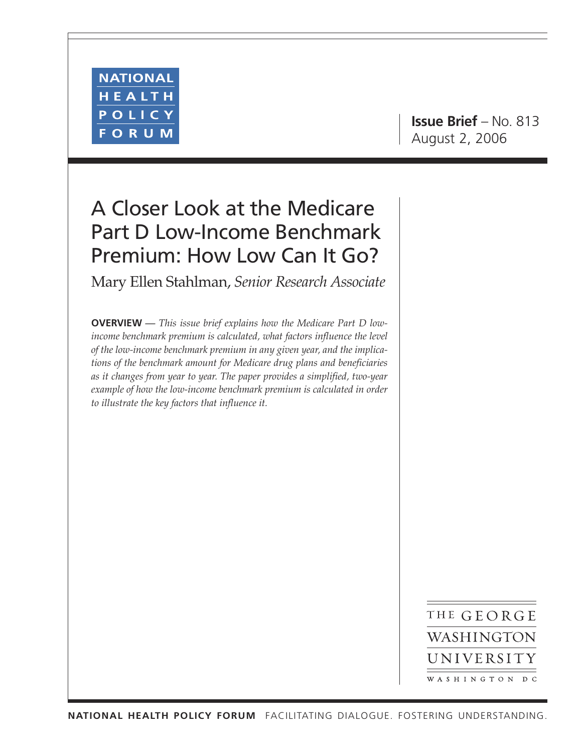

**Issue Brief** – No. 813 August 2, 2006

# A Closer Look at the Medicare Part D Low-Income Benchmark Premium: How Low Can It Go?

Mary Ellen Stahlman, *Senior Research Associate*

**OVERVIEW** *— This issue brief explains how the Medicare Part D lowincome benchmark premium is calculated, what factors influence the level of the low-income benchmark premium in any given year, and the implications of the benchmark amount for Medicare drug plans and beneficiaries as it changes from year to year. The paper provides a simplified, two-year example of how the low-income benchmark premium is calculated in order to illustrate the key factors that influence it.*

> THE GEORGE WASHINGTON UNIVERSITY WASHINGTON DC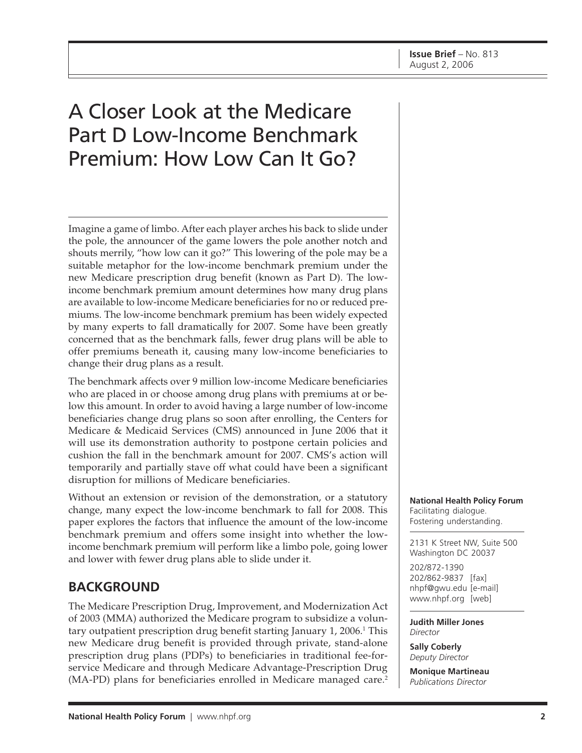# A Closer Look at the Medicare Part D Low-Income Benchmark Premium: How Low Can It Go?

Imagine a game of limbo. After each player arches his back to slide under the pole, the announcer of the game lowers the pole another notch and shouts merrily, "how low can it go?" This lowering of the pole may be a suitable metaphor for the low-income benchmark premium under the new Medicare prescription drug benefit (known as Part D). The lowincome benchmark premium amount determines how many drug plans are available to low-income Medicare beneficiaries for no or reduced premiums. The low-income benchmark premium has been widely expected by many experts to fall dramatically for 2007. Some have been greatly concerned that as the benchmark falls, fewer drug plans will be able to offer premiums beneath it, causing many low-income beneficiaries to change their drug plans as a result.

The benchmark affects over 9 million low-income Medicare beneficiaries who are placed in or choose among drug plans with premiums at or below this amount. In order to avoid having a large number of low-income beneficiaries change drug plans so soon after enrolling, the Centers for Medicare & Medicaid Services (CMS) announced in June 2006 that it will use its demonstration authority to postpone certain policies and cushion the fall in the benchmark amount for 2007. CMS's action will temporarily and partially stave off what could have been a significant disruption for millions of Medicare beneficiaries.

Without an extension or revision of the demonstration, or a statutory change, many expect the low-income benchmark to fall for 2008. This paper explores the factors that influence the amount of the low-income benchmark premium and offers some insight into whether the lowincome benchmark premium will perform like a limbo pole, going lower and lower with fewer drug plans able to slide under it.

## **BACKGROUND**

The Medicare Prescription Drug, Improvement, and Modernization Act of 2003 (MMA) authorized the Medicare program to subsidize a voluntary outpatient prescription drug benefit starting January 1, 2006.<sup>1</sup> This new Medicare drug benefit is provided through private, stand-alone prescription drug plans (PDPs) to beneficiaries in traditional fee-forservice Medicare and through Medicare Advantage-Prescription Drug (MA-PD) plans for beneficiaries enrolled in Medicare managed care.<sup>2</sup>

**National Health Policy Forum** Facilitating dialogue. Fostering understanding.

2131 K Street NW, Suite 500 Washington DC 20037

202/872-1390 202/862-9837 [fax] [nhpf@gwu.edu \[e](mailto:nhpf@gwu.edu)-mail] [www.nhpf.org \[w](http://www.nhpf.org)eb]

**Judith Miller Jones** *Director*

**Sally Coberly** *Deputy Director*

**Monique Martineau** *Publications Director*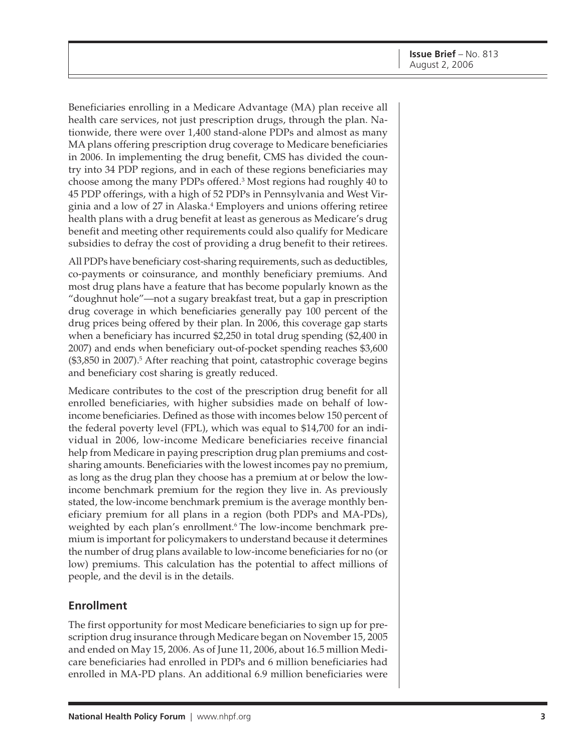Beneficiaries enrolling in a Medicare Advantage (MA) plan receive all health care services, not just prescription drugs, through the plan. Nationwide, there were over 1,400 stand-alone PDPs and almost as many MA plans offering prescription drug coverage to Medicare beneficiaries in 2006. In implementing the drug benefit, CMS has divided the country into 34 PDP regions, and in each of these regions beneficiaries may choose among the many PDPs offered.<sup>3</sup> Most regions had roughly 40 to 45 PDP offerings, with a high of 52 PDPs in Pennsylvania and West Virginia and a low of 27 in Alaska.<sup>4</sup> Employers and unions offering retiree health plans with a drug benefit at least as generous as Medicare's drug benefit and meeting other requirements could also qualify for Medicare subsidies to defray the cost of providing a drug benefit to their retirees.

All PDPs have beneficiary cost-sharing requirements, such as deductibles, co-payments or coinsurance, and monthly beneficiary premiums. And most drug plans have a feature that has become popularly known as the "doughnut hole"—not a sugary breakfast treat, but a gap in prescription drug coverage in which beneficiaries generally pay 100 percent of the drug prices being offered by their plan. In 2006, this coverage gap starts when a beneficiary has incurred \$2,250 in total drug spending (\$2,400 in 2007) and ends when beneficiary out-of-pocket spending reaches \$3,600 (\$3,850 in 2007).5 After reaching that point, catastrophic coverage begins and beneficiary cost sharing is greatly reduced.

Medicare contributes to the cost of the prescription drug benefit for all enrolled beneficiaries, with higher subsidies made on behalf of lowincome beneficiaries. Defined as those with incomes below 150 percent of the federal poverty level (FPL), which was equal to \$14,700 for an individual in 2006, low-income Medicare beneficiaries receive financial help from Medicare in paying prescription drug plan premiums and costsharing amounts. Beneficiaries with the lowest incomes pay no premium, as long as the drug plan they choose has a premium at or below the lowincome benchmark premium for the region they live in. As previously stated, the low-income benchmark premium is the average monthly beneficiary premium for all plans in a region (both PDPs and MA-PDs), weighted by each plan's enrollment.<sup>6</sup> The low-income benchmark premium is important for policymakers to understand because it determines the number of drug plans available to low-income beneficiaries for no (or low) premiums. This calculation has the potential to affect millions of people, and the devil is in the details.

#### **Enrollment**

The first opportunity for most Medicare beneficiaries to sign up for prescription drug insurance through Medicare began on November 15, 2005 and ended on May 15, 2006. As of June 11, 2006, about 16.5 million Medicare beneficiaries had enrolled in PDPs and 6 million beneficiaries had enrolled in MA-PD plans. An additional 6.9 million beneficiaries were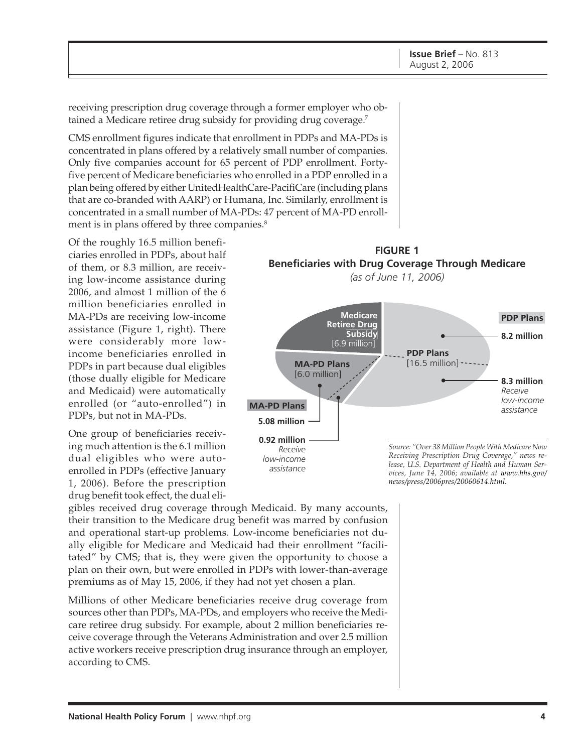receiving prescription drug coverage through a former employer who obtained a Medicare retiree drug subsidy for providing drug coverage.<sup>7</sup>

CMS enrollment figures indicate that enrollment in PDPs and MA-PDs is concentrated in plans offered by a relatively small number of companies. Only five companies account for 65 percent of PDP enrollment. Fortyfive percent of Medicare beneficiaries who enrolled in a PDP enrolled in a plan being offered by either UnitedHealthCare-PacifiCare (including plans that are co-branded with AARP) or Humana, Inc. Similarly, enrollment is concentrated in a small number of MA-PDs: 47 percent of MA-PD enrollment is in plans offered by three companies.<sup>8</sup>

Of the roughly 16.5 million beneficiaries enrolled in PDPs, about half of them, or 8.3 million, are receiving low-income assistance during 2006, and almost 1 million of the 6 million beneficiaries enrolled in MA-PDs are receiving low-income assistance (Figure 1, right). There were considerably more lowincome beneficiaries enrolled in PDPs in part because dual eligibles (those dually eligible for Medicare and Medicaid) were automatically enrolled (or "auto-enrolled") in PDPs, but not in MA-PDs.

One group of beneficiaries receiving much attention is the 6.1 million dual eligibles who were autoenrolled in PDPs (effective January 1, 2006). Before the prescription drug benefit took effect, the dual eli-

gibles received drug coverage through Medicaid. By many accounts, their transition to the Medicare drug benefit was marred by confusion and operational start-up problems. Low-income beneficiaries not dually eligible for Medicare and Medicaid had their enrollment "facilitated" by CMS; that is, they were given the opportunity to choose a plan on their own, but were enrolled in PDPs with lower-than-average premiums as of May 15, 2006, if they had not yet chosen a plan.

Millions of other Medicare beneficiaries receive drug coverage from sources other than PDPs, MA-PDs, and employers who receive the Medicare retiree drug subsidy. For example, about 2 million beneficiaries receive coverage through the Veterans Administration and over 2.5 million active workers receive prescription drug insurance through an employer, according to CMS.

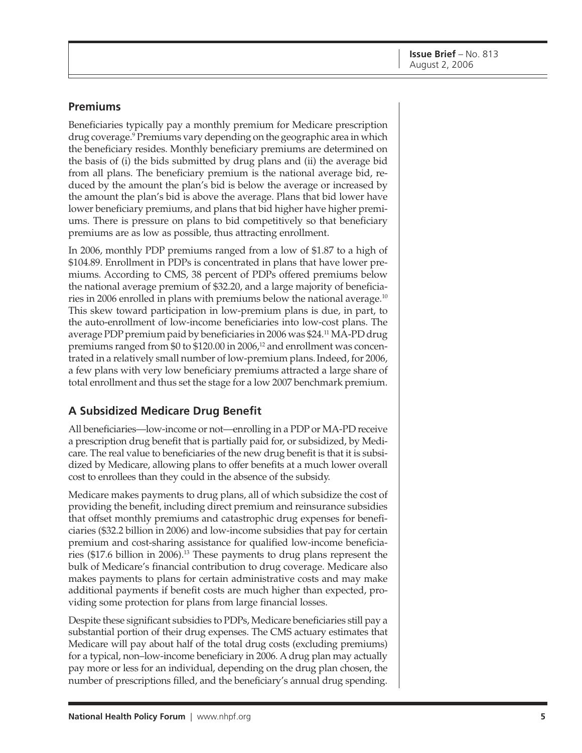#### **Premiums**

Beneficiaries typically pay a monthly premium for Medicare prescription drug coverage.<sup>9</sup> Premiums vary depending on the geographic area in which the beneficiary resides. Monthly beneficiary premiums are determined on the basis of (i) the bids submitted by drug plans and (ii) the average bid from all plans. The beneficiary premium is the national average bid, reduced by the amount the plan's bid is below the average or increased by the amount the plan's bid is above the average. Plans that bid lower have lower beneficiary premiums, and plans that bid higher have higher premiums. There is pressure on plans to bid competitively so that beneficiary premiums are as low as possible, thus attracting enrollment.

In 2006, monthly PDP premiums ranged from a low of \$1.87 to a high of \$104.89. Enrollment in PDPs is concentrated in plans that have lower premiums. According to CMS, 38 percent of PDPs offered premiums below the national average premium of \$32.20, and a large majority of beneficiaries in 2006 enrolled in plans with premiums below the national average.10 This skew toward participation in low-premium plans is due, in part, to the auto-enrollment of low-income beneficiaries into low-cost plans. The average PDP premium paid by beneficiaries in 2006 was \$24.11 MA-PD drug premiums ranged from \$0 to \$120.00 in 2006,<sup>12</sup> and enrollment was concentrated in a relatively small number of low-premium plans.Indeed, for 2006, a few plans with very low beneficiary premiums attracted a large share of total enrollment and thus set the stage for a low 2007 benchmark premium.

#### **A Subsidized Medicare Drug Benefit**

All beneficiaries—low-income or not—enrolling in a PDP or MA-PD receive a prescription drug benefit that is partially paid for, or subsidized, by Medicare. The real value to beneficiaries of the new drug benefit is that it is subsidized by Medicare, allowing plans to offer benefits at a much lower overall cost to enrollees than they could in the absence of the subsidy.

Medicare makes payments to drug plans, all of which subsidize the cost of providing the benefit, including direct premium and reinsurance subsidies that offset monthly premiums and catastrophic drug expenses for beneficiaries (\$32.2 billion in 2006) and low-income subsidies that pay for certain premium and cost-sharing assistance for qualified low-income beneficiaries (\$17.6 billion in 2006).13 These payments to drug plans represent the bulk of Medicare's financial contribution to drug coverage. Medicare also makes payments to plans for certain administrative costs and may make additional payments if benefit costs are much higher than expected, providing some protection for plans from large financial losses.

Despite these significant subsidies to PDPs, Medicare beneficiaries still pay a substantial portion of their drug expenses. The CMS actuary estimates that Medicare will pay about half of the total drug costs (excluding premiums) for a typical, non–low-income beneficiary in 2006. A drug plan may actually pay more or less for an individual, depending on the drug plan chosen, the number of prescriptions filled, and the beneficiary's annual drug spending.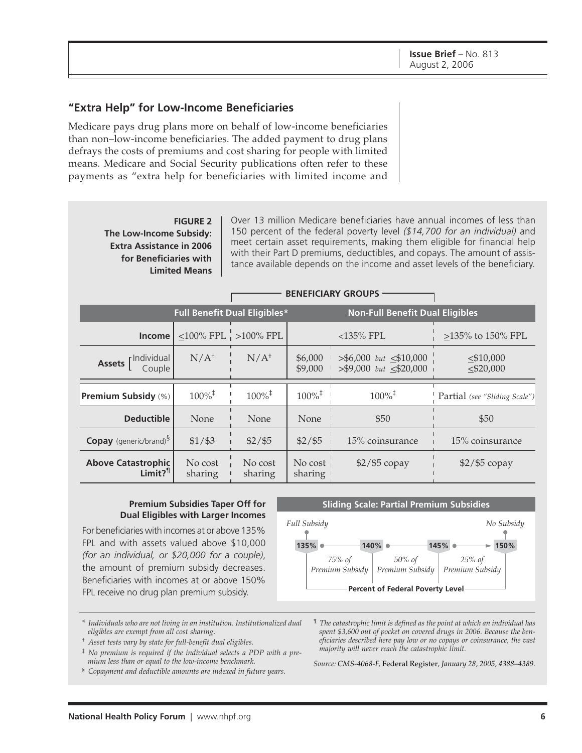#### **"Extra Help" for Low-Income Beneficiaries**

Medicare pays drug plans more on behalf of low-income beneficiaries than non–low-income beneficiaries. The added payment to drug plans defrays the costs of premiums and cost sharing for people with limited means. Medicare and Social Security publications often refer to these payments as "extra help for beneficiaries with limited income and

#### **FIGURE 2 The Low-Income Subsidy: Extra Assistance in 2006 for Beneficiaries with Limited Means**

Over 13 million Medicare beneficiaries have annual incomes of less than 150 percent of the federal poverty level *(\$14,700 for an individual)* and meet certain asset requirements, making them eligible for financial help with their Part D premiums, deductibles, and copays. The amount of assistance available depends on the income and asset levels of the beneficiary.

|                                                    | <b>BENEFICIARY GROUPS</b> |                                     |                      |                                                               |                                 |
|----------------------------------------------------|---------------------------|-------------------------------------|----------------------|---------------------------------------------------------------|---------------------------------|
|                                                    |                           | <b>Full Benefit Dual Eligibles*</b> |                      | <b>Non-Full Benefit Dual Eligibles</b>                        |                                 |
| Income l                                           |                           | $\leq$ 100% FPL $\vert$ >100% FPL   |                      | $<$ 135% FPL                                                  | >135% to 150% FPL               |
| Assets [Individual<br>Couple                       | $N/A^{\dagger}$           | $N/A^{\dagger}$                     | \$6,000<br>\$9,000   | $>$ \$6,000 but $\leq$ \$10,000<br>$> $9,000$ but $< $20,000$ | $\leq$ \$10,000<br>$<$ \$20,000 |
| <b>Premium Subsidy (%)</b>                         | $100\%$ <sup>‡</sup>      | $100\%$ <sup>‡</sup>                | $100\%$ <sup>‡</sup> | $100\%$ <sup>‡</sup>                                          | Partial (see "Sliding Scale")   |
| <b>Deductible</b>                                  | None                      | None                                | <b>None</b>          | \$50                                                          | \$50                            |
| <b>Copay</b> (generic/brand) <sup>9</sup>          | $$1/$ \$3                 | $$2/$ \$5                           | $$2/$ \$5            | 15% coinsurance                                               | 15% coinsurance                 |
| <b>Above Catastrophic</b><br>$Limit?$ <sup>1</sup> | No cost<br>sharing        | No cost<br>sharing                  | No cost<br>sharing   | $$2/$ \$5 copay                                               | $$2/$ \$5 copay                 |

#### **Premium Subsidies Taper Off for Dual Eligibles with Larger Incomes**

For beneficiaries with incomes at or above 135% FPL and with assets valued above \$10,000 *(for an individual, or \$20,000 for a couple)*, the amount of premium subsidy decreases. Beneficiaries with incomes at or above 150% FPL receive no drug plan premium subsidy.



**Percent of Federal Poverty Level**

\* *Individuals who are not living in an institution. Institutionalized dual eligibles are exempt from all cost sharing.*

- † *Asset tests vary by state for full-benefit dual eligibles.*
- ‡ *No premium is required if the individual selects a PDP with a premium less than or equal to the low-income benchmark.*

§ *Copayment and deductible amounts are indexed in future years.*

¶ *The catastrophic limit is defined as the point at which an individual has spent \$3,600 out of pocket on covered drugs in 2006. Because the beneficiaries described here pay low or no copays or coinsurance, the vast majority will never reach the catastrophic limit.*

*Source: CMS-4068-F,* Federal Register*, January 28, 2005, 4388–4389.*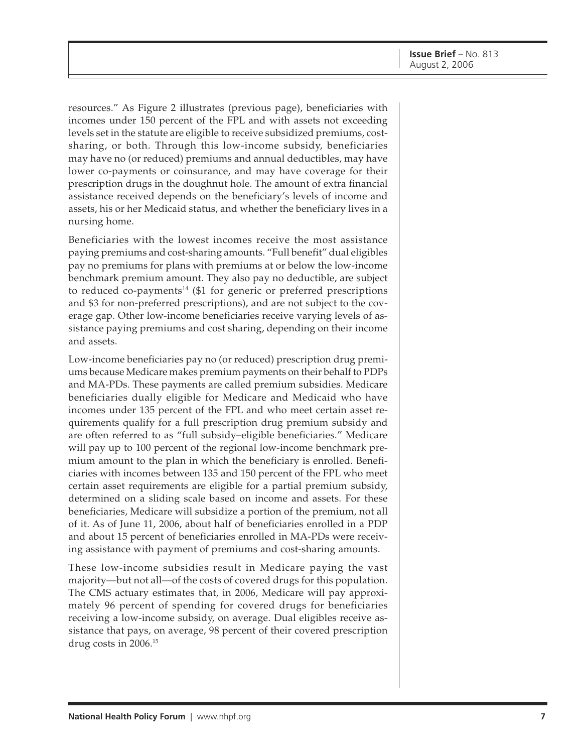resources." As Figure 2 illustrates (previous page), beneficiaries with incomes under 150 percent of the FPL and with assets not exceeding levels set in the statute are eligible to receive subsidized premiums, costsharing, or both. Through this low-income subsidy, beneficiaries may have no (or reduced) premiums and annual deductibles, may have lower co-payments or coinsurance, and may have coverage for their prescription drugs in the doughnut hole. The amount of extra financial assistance received depends on the beneficiary's levels of income and assets, his or her Medicaid status, and whether the beneficiary lives in a nursing home.

Beneficiaries with the lowest incomes receive the most assistance paying premiums and cost-sharing amounts. "Full benefit" dual eligibles pay no premiums for plans with premiums at or below the low-income benchmark premium amount. They also pay no deductible, are subject to reduced co-payments<sup>14</sup> (\$1 for generic or preferred prescriptions and \$3 for non-preferred prescriptions), and are not subject to the coverage gap. Other low-income beneficiaries receive varying levels of assistance paying premiums and cost sharing, depending on their income and assets.

Low-income beneficiaries pay no (or reduced) prescription drug premiums because Medicare makes premium payments on their behalf to PDPs and MA-PDs. These payments are called premium subsidies. Medicare beneficiaries dually eligible for Medicare and Medicaid who have incomes under 135 percent of the FPL and who meet certain asset requirements qualify for a full prescription drug premium subsidy and are often referred to as "full subsidy–eligible beneficiaries." Medicare will pay up to 100 percent of the regional low-income benchmark premium amount to the plan in which the beneficiary is enrolled. Beneficiaries with incomes between 135 and 150 percent of the FPL who meet certain asset requirements are eligible for a partial premium subsidy, determined on a sliding scale based on income and assets. For these beneficiaries, Medicare will subsidize a portion of the premium, not all of it. As of June 11, 2006, about half of beneficiaries enrolled in a PDP and about 15 percent of beneficiaries enrolled in MA-PDs were receiving assistance with payment of premiums and cost-sharing amounts.

These low-income subsidies result in Medicare paying the vast majority—but not all—of the costs of covered drugs for this population. The CMS actuary estimates that, in 2006, Medicare will pay approximately 96 percent of spending for covered drugs for beneficiaries receiving a low-income subsidy, on average. Dual eligibles receive assistance that pays, on average, 98 percent of their covered prescription drug costs in 2006.15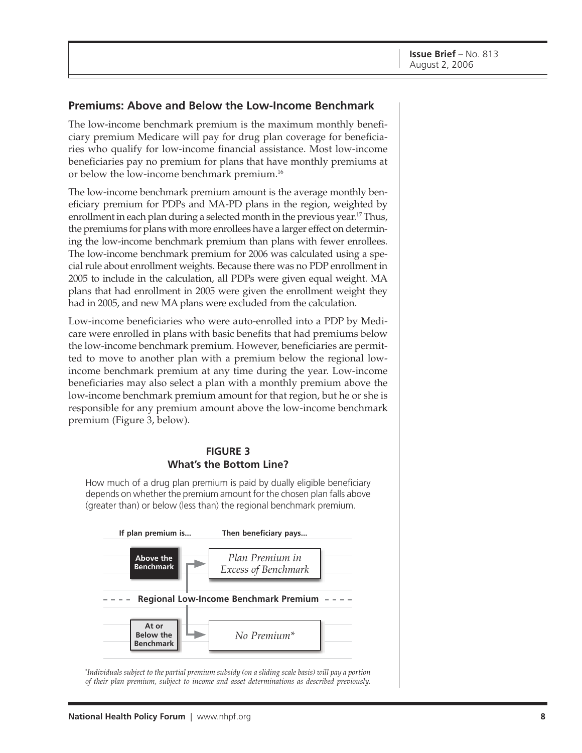#### **Premiums: Above and Below the Low-Income Benchmark**

The low-income benchmark premium is the maximum monthly beneficiary premium Medicare will pay for drug plan coverage for beneficiaries who qualify for low-income financial assistance. Most low-income beneficiaries pay no premium for plans that have monthly premiums at or below the low-income benchmark premium.16

The low-income benchmark premium amount is the average monthly beneficiary premium for PDPs and MA-PD plans in the region, weighted by enrollment in each plan during a selected month in the previous year.<sup>17</sup> Thus, the premiums for plans with more enrollees have a larger effect on determining the low-income benchmark premium than plans with fewer enrollees. The low-income benchmark premium for 2006 was calculated using a special rule about enrollment weights. Because there was no PDP enrollment in 2005 to include in the calculation, all PDPs were given equal weight. MA plans that had enrollment in 2005 were given the enrollment weight they had in 2005, and new MA plans were excluded from the calculation.

Low-income beneficiaries who were auto-enrolled into a PDP by Medicare were enrolled in plans with basic benefits that had premiums below the low-income benchmark premium. However, beneficiaries are permitted to move to another plan with a premium below the regional lowincome benchmark premium at any time during the year. Low-income beneficiaries may also select a plan with a monthly premium above the low-income benchmark premium amount for that region, but he or she is responsible for any premium amount above the low-income benchmark premium (Figure 3, below).

#### **FIGURE 3 What's the Bottom Line?**

How much of a drug plan premium is paid by dually eligible beneficiary depends on whether the premium amount for the chosen plan falls above (greater than) or below (less than) the regional benchmark premium.



\* *Individuals subject to the partial premium subsidy (on a sliding scale basis) will pay a portion of their plan premium, subject to income and asset determinations as described previously.*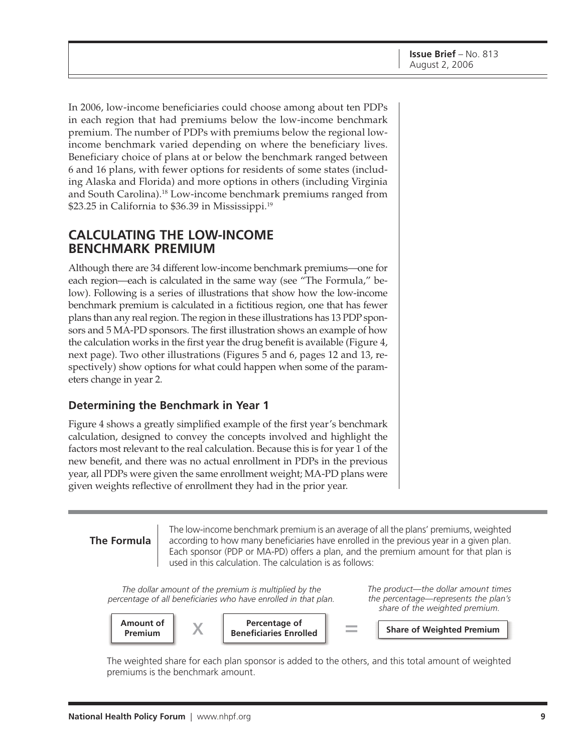In 2006, low-income beneficiaries could choose among about ten PDPs in each region that had premiums below the low-income benchmark premium. The number of PDPs with premiums below the regional lowincome benchmark varied depending on where the beneficiary lives. Beneficiary choice of plans at or below the benchmark ranged between 6 and 16 plans, with fewer options for residents of some states (including Alaska and Florida) and more options in others (including Virginia and South Carolina).18 Low-income benchmark premiums ranged from \$23.25 in California to \$36.39 in Mississippi.<sup>19</sup>

### **CALCULATING THE LOW-INCOME BENCHMARK PREMIUM**

Although there are 34 different low-income benchmark premiums—one for each region—each is calculated in the same way (see "The Formula," below). Following is a series of illustrations that show how the low-income benchmark premium is calculated in a fictitious region, one that has fewer plans than any real region. The region in these illustrations has 13 PDP sponsors and 5 MA-PD sponsors. The first illustration shows an example of how the calculation works in the first year the drug benefit is available (Figure 4, next page). Two other illustrations (Figures 5 and 6, pages 12 and 13, respectively) show options for what could happen when some of the parameters change in year 2.

#### **Determining the Benchmark in Year 1**

Figure 4 shows a greatly simplified example of the first year's benchmark calculation, designed to convey the concepts involved and highlight the factors most relevant to the real calculation. Because this is for year 1 of the new benefit, and there was no actual enrollment in PDPs in the previous year, all PDPs were given the same enrollment weight; MA-PD plans were given weights reflective of enrollment they had in the prior year.

#### **The Formula**

The low-income benchmark premium is an average of all the plans' premiums, weighted according to how many beneficiaries have enrolled in the previous year in a given plan. Each sponsor (PDP or MA-PD) offers a plan, and the premium amount for that plan is used in this calculation. The calculation is as follows:

*The dollar amount of the premium is multiplied by the percentage of all beneficiaries who have enrolled in that plan.* *The product—the dollar amount times the percentage—represents the plan's share of the weighted premium.*



The weighted share for each plan sponsor is added to the others, and this total amount of weighted premiums is the benchmark amount.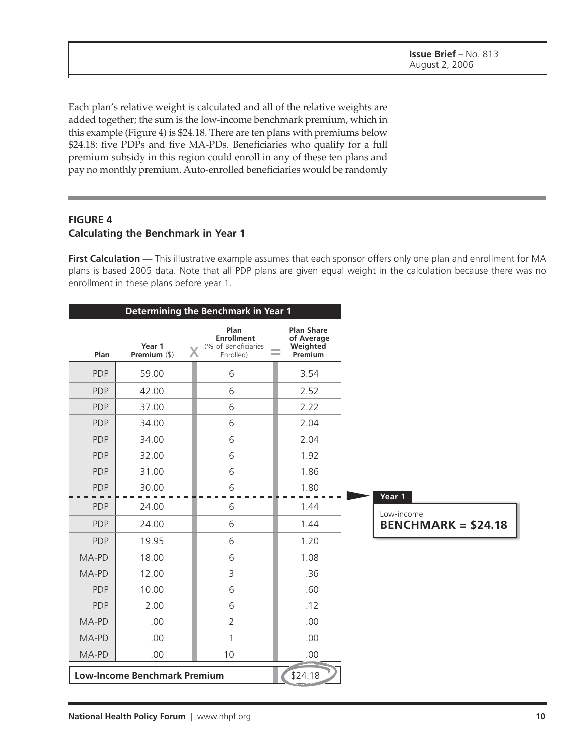Each plan's relative weight is calculated and all of the relative weights are added together; the sum is the low-income benchmark premium, which in this example (Figure 4) is \$24.18. There are ten plans with premiums below \$24.18: five PDPs and five MA-PDs. Beneficiaries who qualify for a full premium subsidy in this region could enroll in any of these ten plans and pay no monthly premium. Auto-enrolled beneficiaries would be randomly

#### **FIGURE 4 Calculating the Benchmark in Year 1**

**First Calculation —** This illustrative example assumes that each sponsor offers only one plan and enrollment for MA plans is based 2005 data. Note that all PDP plans are given equal weight in the calculation because there was no enrollment in these plans before year 1.

| Determining the Benchmark in Year 1 |                                     |                                                                    |                                                        |                                          |
|-------------------------------------|-------------------------------------|--------------------------------------------------------------------|--------------------------------------------------------|------------------------------------------|
| Plan                                | Year 1<br>Premium (\$)              | Plan<br><b>Enrollment</b><br>(% of Beneficiaries<br>Χ<br>Enrolled) | <b>Plan Share</b><br>of Average<br>Weighted<br>Premium |                                          |
| <b>PDP</b>                          | 59.00                               | 6                                                                  | 3.54                                                   |                                          |
| <b>PDP</b>                          | 42.00                               | 6                                                                  | 2.52                                                   |                                          |
| <b>PDP</b>                          | 37.00                               | 6                                                                  | 2.22                                                   |                                          |
| <b>PDP</b>                          | 34.00                               | 6                                                                  | 2.04                                                   |                                          |
| <b>PDP</b>                          | 34.00                               | 6                                                                  | 2.04                                                   |                                          |
| <b>PDP</b>                          | 32.00                               | 6                                                                  | 1.92                                                   |                                          |
| <b>PDP</b>                          | 31.00                               | 6                                                                  | 1.86                                                   |                                          |
| <b>PDP</b>                          | 30.00                               | 6                                                                  | 1.80                                                   | Year 1                                   |
| <b>PDP</b>                          | 24.00                               | 6                                                                  | 1.44                                                   |                                          |
| <b>PDP</b>                          | 24.00                               | 6                                                                  | 1.44                                                   | Low-income<br><b>BENCHMARK = \$24.18</b> |
| <b>PDP</b>                          | 19.95                               | 6                                                                  | 1.20                                                   |                                          |
| MA-PD                               | 18.00                               | 6                                                                  | 1.08                                                   |                                          |
| MA-PD                               | 12.00                               | 3                                                                  | .36                                                    |                                          |
| <b>PDP</b>                          | 10.00                               | 6                                                                  | .60                                                    |                                          |
| <b>PDP</b>                          | 2.00                                | 6                                                                  | .12                                                    |                                          |
| MA-PD                               | .00                                 | $\overline{2}$                                                     | .00                                                    |                                          |
| MA-PD                               | .00                                 | $\mathbf{1}$                                                       | .00                                                    |                                          |
| MA-PD                               | .00                                 | 10                                                                 | .00                                                    |                                          |
|                                     | <b>Low-Income Benchmark Premium</b> |                                                                    | \$24.18                                                |                                          |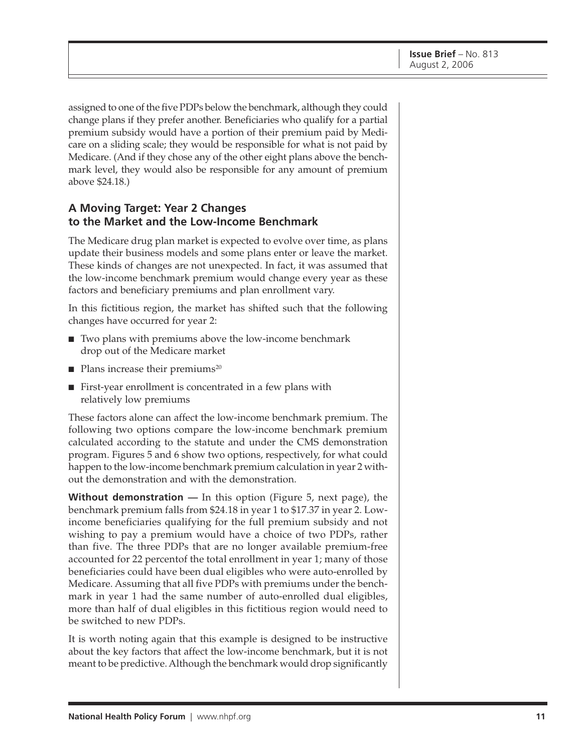assigned to one of the five PDPs below the benchmark, although they could change plans if they prefer another. Beneficiaries who qualify for a partial premium subsidy would have a portion of their premium paid by Medicare on a sliding scale; they would be responsible for what is not paid by Medicare. (And if they chose any of the other eight plans above the benchmark level, they would also be responsible for any amount of premium above \$24.18.)

#### **A Moving Target: Year 2 Changes to the Market and the Low-Income Benchmark**

The Medicare drug plan market is expected to evolve over time, as plans update their business models and some plans enter or leave the market. These kinds of changes are not unexpected. In fact, it was assumed that the low-income benchmark premium would change every year as these factors and beneficiary premiums and plan enrollment vary.

In this fictitious region, the market has shifted such that the following changes have occurred for year 2:

- Two plans with premiums above the low-income benchmark drop out of the Medicare market
- $\blacksquare$  Plans increase their premiums<sup>20</sup>
- First-year enrollment is concentrated in a few plans with relatively low premiums

These factors alone can affect the low-income benchmark premium. The following two options compare the low-income benchmark premium calculated according to the statute and under the CMS demonstration program. Figures 5 and 6 show two options, respectively, for what could happen to the low-income benchmark premium calculation in year 2 without the demonstration and with the demonstration.

**Without demonstration** — In this option (Figure 5, next page), the benchmark premium falls from \$24.18 in year 1 to \$17.37 in year 2. Lowincome beneficiaries qualifying for the full premium subsidy and not wishing to pay a premium would have a choice of two PDPs, rather than five. The three PDPs that are no longer available premium-free accounted for 22 percentof the total enrollment in year 1; many of those beneficiaries could have been dual eligibles who were auto-enrolled by Medicare. Assuming that all five PDPs with premiums under the benchmark in year 1 had the same number of auto-enrolled dual eligibles, more than half of dual eligibles in this fictitious region would need to be switched to new PDPs.

It is worth noting again that this example is designed to be instructive about the key factors that affect the low-income benchmark, but it is not meant to be predictive. Although the benchmark would drop significantly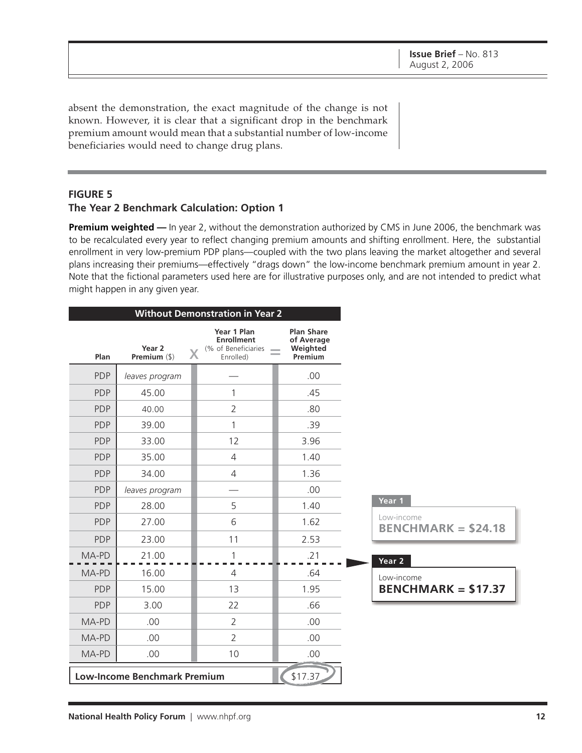absent the demonstration, the exact magnitude of the change is not known. However, it is clear that a significant drop in the benchmark premium amount would mean that a substantial number of low-income beneficiaries would need to change drug plans.

#### **FIGURE 5**

#### **The Year 2 Benchmark Calculation: Option 1**

**Premium weighted —** In year 2, without the demonstration authorized by CMS in June 2006, the benchmark was to be recalculated every year to reflect changing premium amounts and shifting enrollment. Here, the substantial enrollment in very low-premium PDP plans—coupled with the two plans leaving the market altogether and several plans increasing their premiums—effectively "drags down" the low-income benchmark premium amount in year 2. Note that the fictional parameters used here are for illustrative purposes only, and are not intended to predict what might happen in any given year.

| <b>Without Demonstration in Year 2</b> |                                     |                                                                      |                                                        |                                          |
|----------------------------------------|-------------------------------------|----------------------------------------------------------------------|--------------------------------------------------------|------------------------------------------|
| Plan                                   | Year 2<br>Premium (\$)              | Year 1 Plan<br><b>Enrollment</b><br>(% of Beneficiaries<br>Enrolled) | <b>Plan Share</b><br>of Average<br>Weighted<br>Premium |                                          |
| <b>PDP</b>                             | leaves program                      |                                                                      | .00                                                    |                                          |
| <b>PDP</b>                             | 45.00                               | 1                                                                    | .45                                                    |                                          |
| <b>PDP</b>                             | 40.00                               | $\overline{2}$                                                       | .80                                                    |                                          |
| <b>PDP</b>                             | 39.00                               | 1                                                                    | .39                                                    |                                          |
| <b>PDP</b>                             | 33.00                               | 12                                                                   | 3.96                                                   |                                          |
| <b>PDP</b>                             | 35.00                               | 4                                                                    | 1.40                                                   |                                          |
| <b>PDP</b>                             | 34.00                               | $\overline{4}$                                                       | 1.36                                                   |                                          |
| <b>PDP</b>                             | leaves program                      |                                                                      | .00                                                    |                                          |
| <b>PDP</b>                             | 28.00                               | 5                                                                    | 1.40                                                   | Year 1                                   |
| <b>PDP</b>                             | 27.00                               | 6                                                                    | 1.62                                                   | Low-income<br><b>BENCHMARK = \$24.18</b> |
| <b>PDP</b>                             | 23.00                               | 11                                                                   | 2.53                                                   |                                          |
| MA-PD                                  | 21.00                               | 1                                                                    | .21                                                    | Year 2                                   |
| MA-PD                                  | 16.00                               | $\overline{4}$                                                       | .64                                                    | Low-income                               |
| <b>PDP</b>                             | 15.00                               | 13                                                                   | 1.95                                                   | $BENCHMARK = $17.37$                     |
| <b>PDP</b>                             | 3.00                                | 22                                                                   | .66                                                    |                                          |
| MA-PD                                  | .00                                 | $\overline{2}$                                                       | .00                                                    |                                          |
| MA-PD                                  | .00                                 | $\overline{2}$                                                       | .00                                                    |                                          |
| MA-PD                                  | .00                                 | 10                                                                   | .00                                                    |                                          |
|                                        | <b>Low-Income Benchmark Premium</b> |                                                                      | \$17.37                                                |                                          |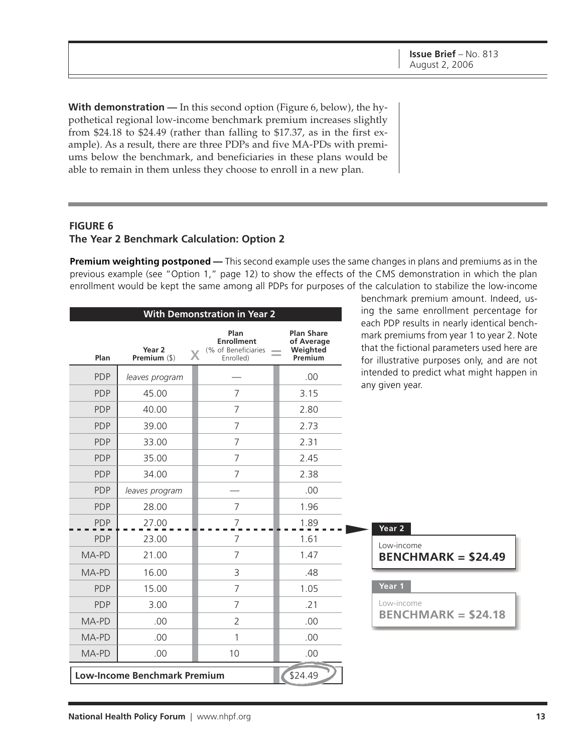benchmark premium amount. Indeed, us-

**With demonstration** — In this second option (Figure 6, below), the hypothetical regional low-income benchmark premium increases slightly from \$24.18 to \$24.49 (rather than falling to \$17.37, as in the first example). As a result, there are three PDPs and five MA-PDs with premiums below the benchmark, and beneficiaries in these plans would be able to remain in them unless they choose to enroll in a new plan.

#### **FIGURE 6 The Year 2 Benchmark Calculation: Option 2**

**Premium weighting postponed —** This second example uses the same changes in plans and premiums as in the previous example (see "Option 1," page 12) to show the effects of the CMS demonstration in which the plan enrollment would be kept the same among all PDPs for purposes of the calculation to stabilize the low-income

| <b>With Demonstration in Year 2</b> |                                     |                                                               |                                                        | ing the same enrollment percentage for                                                                                                                                                 |
|-------------------------------------|-------------------------------------|---------------------------------------------------------------|--------------------------------------------------------|----------------------------------------------------------------------------------------------------------------------------------------------------------------------------------------|
| Plan                                | Year 2<br>Premium (\$)              | Plan<br><b>Enrollment</b><br>(% of Beneficiaries<br>Enrolled) | <b>Plan Share</b><br>of Average<br>Weighted<br>Premium | each PDP results in nearly identical bench-<br>mark premiums from year 1 to year 2. Note<br>that the fictional parameters used here are<br>for illustrative purposes only, and are not |
| <b>PDP</b>                          | leaves program                      |                                                               | .00                                                    | intended to predict what might happen in                                                                                                                                               |
| <b>PDP</b>                          | 45.00                               | 7                                                             | 3.15                                                   | any given year.                                                                                                                                                                        |
| <b>PDP</b>                          | 40.00                               | 7                                                             | 2.80                                                   |                                                                                                                                                                                        |
| <b>PDP</b>                          | 39.00                               | 7                                                             | 2.73                                                   |                                                                                                                                                                                        |
| <b>PDP</b>                          | 33.00                               | $\overline{7}$                                                | 2.31                                                   |                                                                                                                                                                                        |
| <b>PDP</b>                          | 35.00                               | 7                                                             | 2.45                                                   |                                                                                                                                                                                        |
| <b>PDP</b>                          | 34.00                               | 7                                                             | 2.38                                                   |                                                                                                                                                                                        |
| <b>PDP</b>                          | leaves program                      |                                                               | .00                                                    |                                                                                                                                                                                        |
| <b>PDP</b>                          | 28.00                               | 7                                                             | 1.96                                                   |                                                                                                                                                                                        |
| <b>PDP</b>                          | 27.00                               | 7                                                             | 1.89                                                   | Year 2                                                                                                                                                                                 |
| <b>PDP</b>                          | 23.00                               | 7                                                             | 1.61                                                   | Low-income                                                                                                                                                                             |
| MA-PD                               | 21.00                               | 7                                                             | 1.47                                                   | $BENCHMARK = $24.49$                                                                                                                                                                   |
| MA-PD                               | 16.00                               | 3                                                             | .48                                                    |                                                                                                                                                                                        |
| <b>PDP</b>                          | 15.00                               | 7                                                             | 1.05                                                   | Year 1                                                                                                                                                                                 |
| <b>PDP</b>                          | 3.00                                | $\overline{7}$                                                | .21                                                    | Low-income                                                                                                                                                                             |
| MA-PD                               | .00                                 | 2                                                             | .00                                                    | $BENCHMARK = $24.18$                                                                                                                                                                   |
| MA-PD                               | .00                                 |                                                               | .00                                                    |                                                                                                                                                                                        |
| MA-PD                               | .00                                 | 10                                                            | .00                                                    |                                                                                                                                                                                        |
|                                     | <b>Low-Income Benchmark Premium</b> |                                                               | \$24.49                                                |                                                                                                                                                                                        |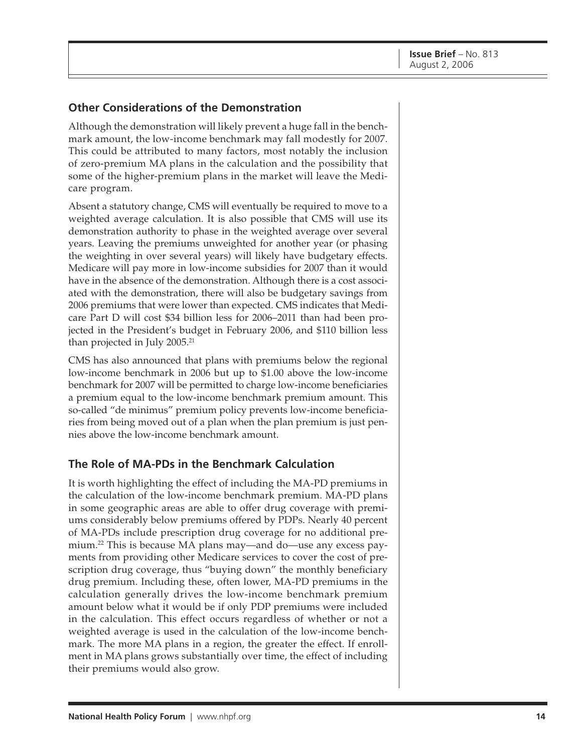#### **Other Considerations of the Demonstration**

Although the demonstration will likely prevent a huge fall in the benchmark amount, the low-income benchmark may fall modestly for 2007. This could be attributed to many factors, most notably the inclusion of zero-premium MA plans in the calculation and the possibility that some of the higher-premium plans in the market will leave the Medicare program.

Absent a statutory change, CMS will eventually be required to move to a weighted average calculation. It is also possible that CMS will use its demonstration authority to phase in the weighted average over several years. Leaving the premiums unweighted for another year (or phasing the weighting in over several years) will likely have budgetary effects. Medicare will pay more in low-income subsidies for 2007 than it would have in the absence of the demonstration. Although there is a cost associated with the demonstration, there will also be budgetary savings from 2006 premiums that were lower than expected. CMS indicates that Medicare Part D will cost \$34 billion less for 2006–2011 than had been projected in the President's budget in February 2006, and \$110 billion less than projected in July  $2005.^{21}$ 

CMS has also announced that plans with premiums below the regional low-income benchmark in 2006 but up to \$1.00 above the low-income benchmark for 2007 will be permitted to charge low-income beneficiaries a premium equal to the low-income benchmark premium amount. This so-called "de minimus" premium policy prevents low-income beneficiaries from being moved out of a plan when the plan premium is just pennies above the low-income benchmark amount.

#### **The Role of MA-PDs in the Benchmark Calculation**

It is worth highlighting the effect of including the MA-PD premiums in the calculation of the low-income benchmark premium. MA-PD plans in some geographic areas are able to offer drug coverage with premiums considerably below premiums offered by PDPs. Nearly 40 percent of MA-PDs include prescription drug coverage for no additional premium.22 This is because MA plans may—and do—use any excess payments from providing other Medicare services to cover the cost of prescription drug coverage, thus "buying down" the monthly beneficiary drug premium. Including these, often lower, MA-PD premiums in the calculation generally drives the low-income benchmark premium amount below what it would be if only PDP premiums were included in the calculation. This effect occurs regardless of whether or not a weighted average is used in the calculation of the low-income benchmark. The more MA plans in a region, the greater the effect. If enrollment in MA plans grows substantially over time, the effect of including their premiums would also grow.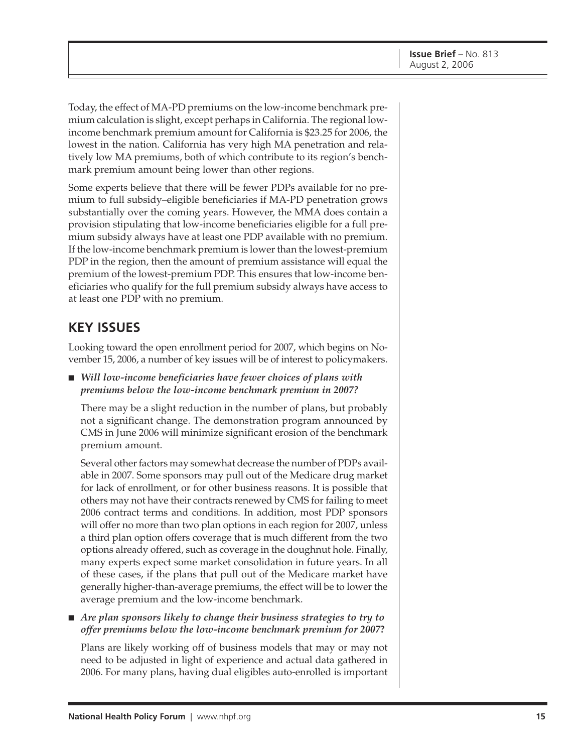Today, the effect of MA-PD premiums on the low-income benchmark premium calculation is slight, except perhaps in California. The regional lowincome benchmark premium amount for California is \$23.25 for 2006, the lowest in the nation. California has very high MA penetration and relatively low MA premiums, both of which contribute to its region's benchmark premium amount being lower than other regions.

Some experts believe that there will be fewer PDPs available for no premium to full subsidy–eligible beneficiaries if MA-PD penetration grows substantially over the coming years. However, the MMA does contain a provision stipulating that low-income beneficiaries eligible for a full premium subsidy always have at least one PDP available with no premium. If the low-income benchmark premium is lower than the lowest-premium PDP in the region, then the amount of premium assistance will equal the premium of the lowest-premium PDP. This ensures that low-income beneficiaries who qualify for the full premium subsidy always have access to at least one PDP with no premium.

## **KEY ISSUES**

Looking toward the open enrollment period for 2007, which begins on November 15, 2006, a number of key issues will be of interest to policymakers.

■ *Will low-income beneficiaries have fewer choices of plans with premiums below the low-income benchmark premium in 2007?*

There may be a slight reduction in the number of plans, but probably not a significant change. The demonstration program announced by CMS in June 2006 will minimize significant erosion of the benchmark premium amount.

Several other factors may somewhat decrease the number of PDPs available in 2007. Some sponsors may pull out of the Medicare drug market for lack of enrollment, or for other business reasons. It is possible that others may not have their contracts renewed by CMS for failing to meet 2006 contract terms and conditions. In addition, most PDP sponsors will offer no more than two plan options in each region for 2007, unless a third plan option offers coverage that is much different from the two options already offered, such as coverage in the doughnut hole. Finally, many experts expect some market consolidation in future years. In all of these cases, if the plans that pull out of the Medicare market have generally higher-than-average premiums, the effect will be to lower the average premium and the low-income benchmark.

■ *Are plan sponsors likely to change their business strategies to try to offer premiums below the low-income benchmark premium for 2007***?**

Plans are likely working off of business models that may or may not need to be adjusted in light of experience and actual data gathered in 2006. For many plans, having dual eligibles auto-enrolled is important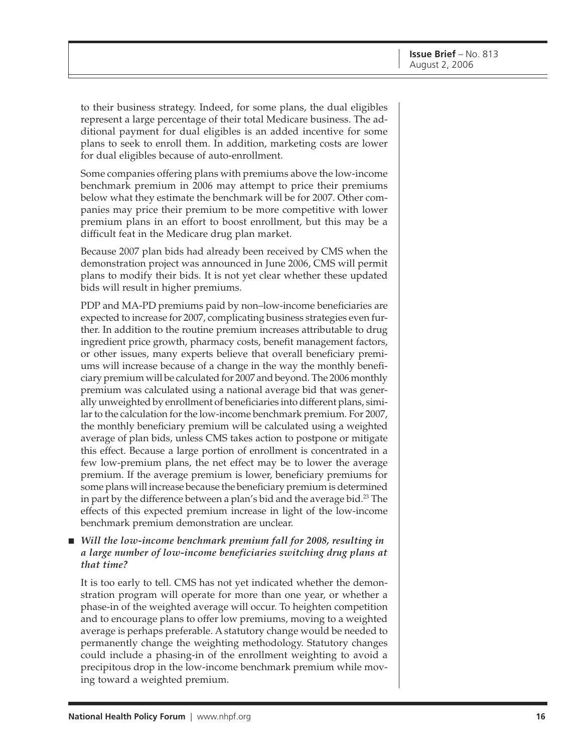to their business strategy. Indeed, for some plans, the dual eligibles represent a large percentage of their total Medicare business. The additional payment for dual eligibles is an added incentive for some plans to seek to enroll them. In addition, marketing costs are lower for dual eligibles because of auto-enrollment.

Some companies offering plans with premiums above the low-income benchmark premium in 2006 may attempt to price their premiums below what they estimate the benchmark will be for 2007. Other companies may price their premium to be more competitive with lower premium plans in an effort to boost enrollment, but this may be a difficult feat in the Medicare drug plan market.

Because 2007 plan bids had already been received by CMS when the demonstration project was announced in June 2006, CMS will permit plans to modify their bids. It is not yet clear whether these updated bids will result in higher premiums.

PDP and MA-PD premiums paid by non–low-income beneficiaries are expected to increase for 2007, complicating business strategies even further. In addition to the routine premium increases attributable to drug ingredient price growth, pharmacy costs, benefit management factors, or other issues, many experts believe that overall beneficiary premiums will increase because of a change in the way the monthly beneficiary premium will be calculated for 2007 and beyond. The 2006 monthly premium was calculated using a national average bid that was generally unweighted by enrollment of beneficiaries into different plans, similar to the calculation for the low-income benchmark premium. For 2007, the monthly beneficiary premium will be calculated using a weighted average of plan bids, unless CMS takes action to postpone or mitigate this effect. Because a large portion of enrollment is concentrated in a few low-premium plans, the net effect may be to lower the average premium. If the average premium is lower, beneficiary premiums for some plans will increase because the beneficiary premium is determined in part by the difference between a plan's bid and the average bid.<sup>23</sup> The effects of this expected premium increase in light of the low-income benchmark premium demonstration are unclear.

#### ■ *Will the low-income benchmark premium fall for 2008, resulting in a large number of low-income beneficiaries switching drug plans at that time?*

It is too early to tell. CMS has not yet indicated whether the demonstration program will operate for more than one year, or whether a phase-in of the weighted average will occur. To heighten competition and to encourage plans to offer low premiums, moving to a weighted average is perhaps preferable. A statutory change would be needed to permanently change the weighting methodology. Statutory changes could include a phasing-in of the enrollment weighting to avoid a precipitous drop in the low-income benchmark premium while moving toward a weighted premium.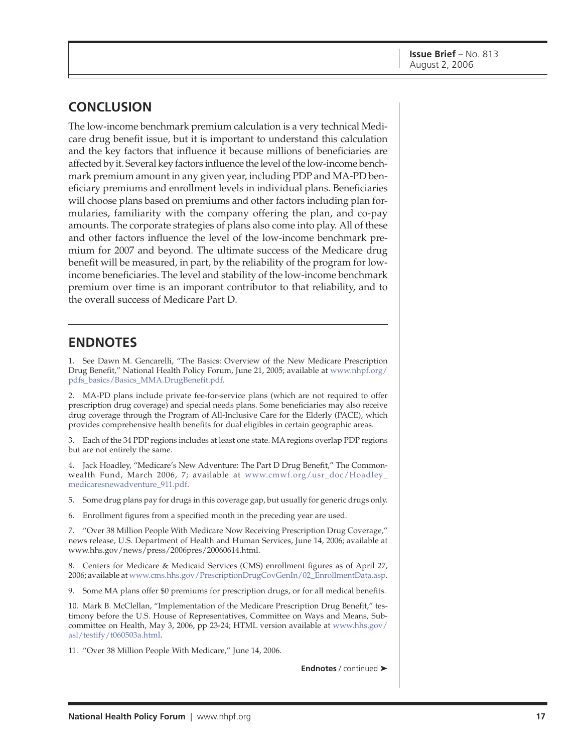## **CONCLUSION**

The low-income benchmark premium calculation is a very technical Medicare drug benefit issue, but it is important to understand this calculation and the key factors that influence it because millions of beneficiaries are affected by it. Several key factors influence the level of the low-income benchmark premium amount in any given year, including PDP and MA-PD beneficiary premiums and enrollment levels in individual plans. Beneficiaries will choose plans based on premiums and other factors including plan formularies, familiarity with the company offering the plan, and co-pay amounts. The corporate strategies of plans also come into play. All of these and other factors influence the level of the low-income benchmark premium for 2007 and beyond. The ultimate success of the Medicare drug benefit will be measured, in part, by the reliability of the program for lowincome beneficiaries. The level and stability of the low-income benchmark premium over time is an imporant contributor to that reliability, and to the overall success of Medicare Part D.

### **ENDNOTES**

1. See Dawn M. Gencarelli, "The Basics: Overview of the New Medicare Prescription [Drug Benefit," National Health Policy Forum, June 21, 2005; available at www.nhpf.org/](http://www.nhpf.org/pdfs_basics/Basics_MMA.DrugBenefit.pdf) pdfs\_basics/Basics\_MMA.DrugBenefit.pdf.

2. MA-PD plans include private fee-for-service plans (which are not required to offer prescription drug coverage) and special needs plans. Some beneficiaries may also receive drug coverage through the Program of All-Inclusive Care for the Elderly (PACE), which provides comprehensive health benefits for dual eligibles in certain geographic areas.

3. Each of the 34 PDP regions includes at least one state. MA regions overlap PDP regions but are not entirely the same.

4. Jack Hoadley, "Medicare's New Adventure: The Part D Drug Benefit," The Common[wealth Fund, March 2006, 7; available at www.cmwf.org/usr\\_doc/Hoadley\\_](http://www.cmwf.org/usr_doc/Hoadley_medicaresnewadventure_911.pdf) medicaresnewadventure\_911.pdf.

5. Some drug plans pay for drugs in this coverage gap, but usually for generic drugs only.

6. Enrollment figures from a specified month in the preceding year are used.

7. "Over 38 Million People With Medicare Now Receiving Prescription Drug Coverage," news release, U.S. Department of Health and Human Services, June 14, 2006; available at [www.hhs.gov/news/press/2006pres/20060614.html.](http://www.hhs.gov/news/press/2006pres/20060614.html)

8. Centers for Medicare & Medicaid Services (CMS) enrollment figures as of April 27, 2006; available at [www.cms.hhs.gov/PrescriptionDrugCovGenIn/02\\_EnrollmentData.asp.](http://www.cms.hhs.gov/PrescriptionDrugCovGenIn/02_EnrollmentData.asp)

9. Some MA plans offer \$0 premiums for prescription drugs, or for all medical benefits.

10. Mark B. McClellan, "Implementation of the Medicare Prescription Drug Benefit," testimony before the U.S. House of Representatives, Committee on Ways and Means, Sub[committee on Health, May 3, 2006, pp 23-24; HTML version available at www.hhs.gov/](http://www.hhs.gov/asl/testify/t060503a.html) asl/testify/t060503a.html.

11. "Over 38 Million People With Medicare," June 14, 2006.

**Endnotes** / continued ➤